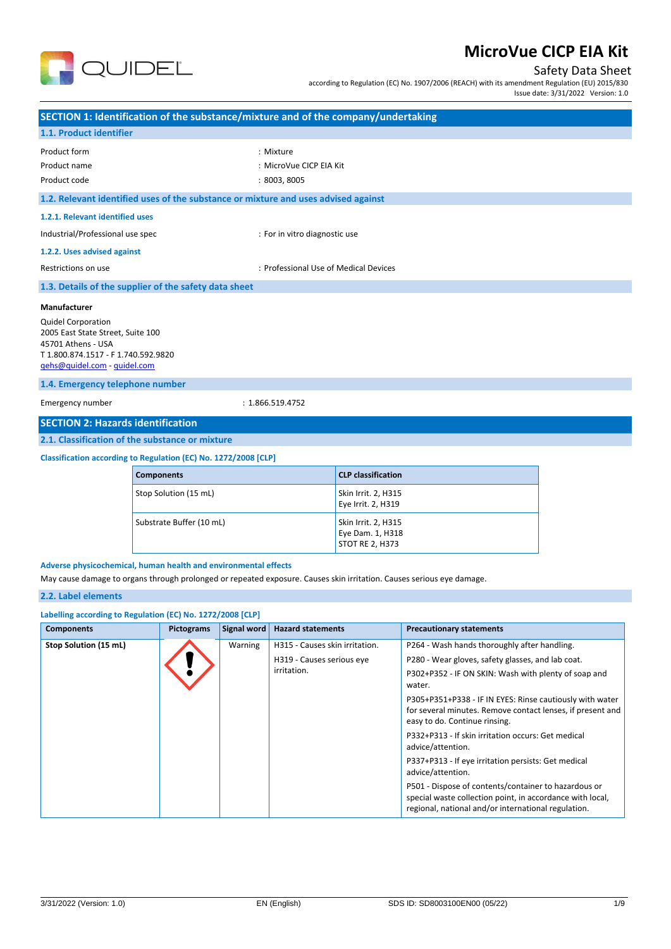

### Safety Data Sheet

according to Regulation (EC) No. 1907/2006 (REACH) with its amendment Regulation (EU) 2015/830

| Issue date: 3/31/2022 Version: 1.0 |  |  |  |
|------------------------------------|--|--|--|
|------------------------------------|--|--|--|

| SECTION 1: Identification of the substance/mixture and of the company/undertaking                                                                                                        |                                                      |                   |                                                                   |                                                                            |  |                                                                                                                                                                     |  |
|------------------------------------------------------------------------------------------------------------------------------------------------------------------------------------------|------------------------------------------------------|-------------------|-------------------------------------------------------------------|----------------------------------------------------------------------------|--|---------------------------------------------------------------------------------------------------------------------------------------------------------------------|--|
| 1.1. Product identifier                                                                                                                                                                  |                                                      |                   |                                                                   |                                                                            |  |                                                                                                                                                                     |  |
| Product form<br>Product name<br>Product code                                                                                                                                             | : Mixture<br>: MicroVue CICP EIA Kit<br>: 8003, 8005 |                   |                                                                   |                                                                            |  |                                                                                                                                                                     |  |
| 1.2. Relevant identified uses of the substance or mixture and uses advised against                                                                                                       |                                                      |                   |                                                                   |                                                                            |  |                                                                                                                                                                     |  |
| 1.2.1. Relevant identified uses                                                                                                                                                          |                                                      |                   |                                                                   |                                                                            |  |                                                                                                                                                                     |  |
| Industrial/Professional use spec                                                                                                                                                         |                                                      |                   |                                                                   | : For in vitro diagnostic use                                              |  |                                                                                                                                                                     |  |
| 1.2.2. Uses advised against                                                                                                                                                              |                                                      |                   |                                                                   |                                                                            |  |                                                                                                                                                                     |  |
| Restrictions on use                                                                                                                                                                      |                                                      |                   |                                                                   | : Professional Use of Medical Devices                                      |  |                                                                                                                                                                     |  |
| 1.3. Details of the supplier of the safety data sheet                                                                                                                                    |                                                      |                   |                                                                   |                                                                            |  |                                                                                                                                                                     |  |
| Manufacturer<br><b>Quidel Corporation</b><br>2005 East State Street, Suite 100<br>45701 Athens - USA<br>T1.800.874.1517 - F1.740.592.9820<br>gehs@quidel.com - quidel.com                |                                                      |                   |                                                                   |                                                                            |  |                                                                                                                                                                     |  |
| 1.4. Emergency telephone number                                                                                                                                                          |                                                      |                   |                                                                   |                                                                            |  |                                                                                                                                                                     |  |
| Emergency number<br>: 1.866.519.4752                                                                                                                                                     |                                                      |                   |                                                                   |                                                                            |  |                                                                                                                                                                     |  |
| <b>SECTION 2: Hazards identification</b>                                                                                                                                                 |                                                      |                   |                                                                   |                                                                            |  |                                                                                                                                                                     |  |
| 2.1. Classification of the substance or mixture                                                                                                                                          |                                                      |                   |                                                                   |                                                                            |  |                                                                                                                                                                     |  |
| Classification according to Regulation (EC) No. 1272/2008 [CLP]                                                                                                                          |                                                      |                   |                                                                   |                                                                            |  |                                                                                                                                                                     |  |
| <b>Components</b>                                                                                                                                                                        |                                                      |                   | <b>CLP classification</b>                                         |                                                                            |  |                                                                                                                                                                     |  |
|                                                                                                                                                                                          | Stop Solution (15 mL)                                |                   |                                                                   | Skin Irrit. 2, H315<br>Eye Irrit. 2, H319                                  |  |                                                                                                                                                                     |  |
|                                                                                                                                                                                          | Substrate Buffer (10 mL)                             |                   | Skin Irrit. 2, H315<br>Eye Dam. 1, H318<br><b>STOT RE 2, H373</b> |                                                                            |  |                                                                                                                                                                     |  |
| Adverse physicochemical, human health and environmental effects<br>May cause damage to organs through prolonged or repeated exposure. Causes skin irritation. Causes serious eye damage. |                                                      |                   |                                                                   |                                                                            |  |                                                                                                                                                                     |  |
| 2.2. Label elements                                                                                                                                                                      |                                                      |                   |                                                                   |                                                                            |  |                                                                                                                                                                     |  |
| Labelling according to Regulation (EC) No. 1272/2008 [CLP]                                                                                                                               |                                                      |                   |                                                                   |                                                                            |  |                                                                                                                                                                     |  |
| <b>Components</b>                                                                                                                                                                        |                                                      | <b>Pictograms</b> | Signal word                                                       | <b>Hazard statements</b>                                                   |  | <b>Precautionary statements</b>                                                                                                                                     |  |
| Stop Solution (15 mL)                                                                                                                                                                    |                                                      |                   | Warning                                                           | H315 - Causes skin irritation.<br>H319 - Causes serious eye<br>irritation. |  | P264 - Wash hands thoroughly after handling.<br>P280 - Wear gloves, safety glasses, and lab coat.<br>P302+P352 - IF ON SKIN: Wash with plenty of soap and<br>water. |  |

easy to do. Continue rinsing.

advice/attention.

advice/attention.

P305+P351+P338 - IF IN EYES: Rinse cautiously with water for several minutes. Remove contact lenses, if present and

P332+P313 - If skin irritation occurs: Get medical

P337+P313 - If eye irritation persists: Get medical

P501 - Dispose of contents/container to hazardous or special waste collection point, in accordance with local, regional, national and/or international regulation.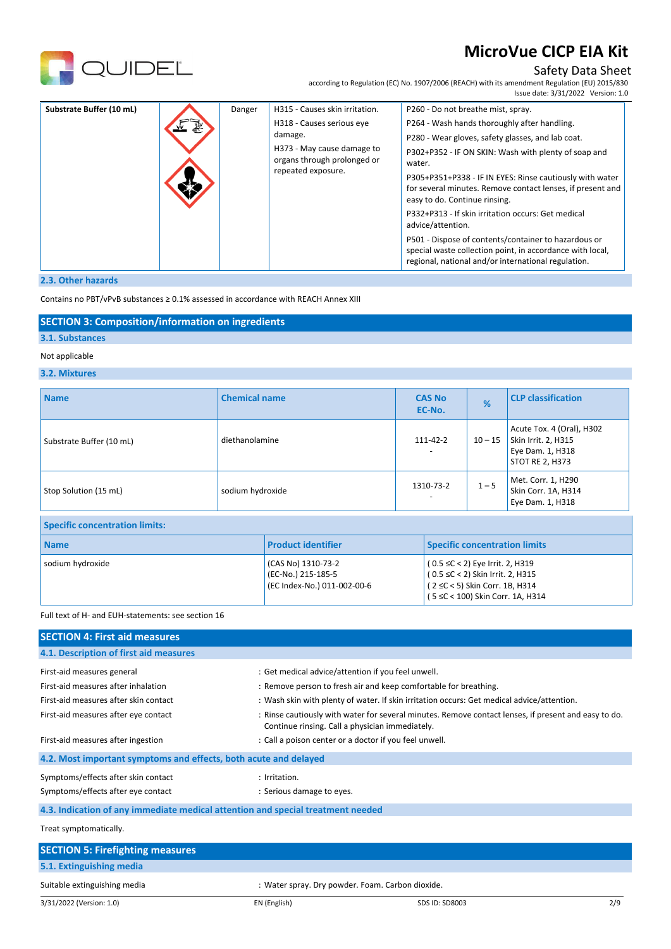

## Safety Data Sheet

according to Regulation (EC) No. 1907/2006 (REACH) with its amendment Regulation (EU) 2015/830 Issue date: 3/31/2022 Version: 1.0

| Substrate Buffer (10 mL)<br>H315 - Causes skin irritation.<br>P260 - Do not breathe mist, spray.<br>Danger<br>P264 - Wash hands thoroughly after handling.<br>H318 - Causes serious eye<br>damage.<br>P280 - Wear gloves, safety glasses, and lab coat.<br>H373 - May cause damage to<br>P302+P352 - IF ON SKIN: Wash with plenty of soap and<br>organs through prolonged or<br>water.<br>repeated exposure.<br>P305+P351+P338 - IF IN EYES: Rinse cautiously with water<br>for several minutes. Remove contact lenses, if present and<br>easy to do. Continue rinsing.<br>P332+P313 - If skin irritation occurs: Get medical<br>advice/attention.<br>P501 - Dispose of contents/container to hazardous or<br>special waste collection point, in accordance with local, |  |
|-------------------------------------------------------------------------------------------------------------------------------------------------------------------------------------------------------------------------------------------------------------------------------------------------------------------------------------------------------------------------------------------------------------------------------------------------------------------------------------------------------------------------------------------------------------------------------------------------------------------------------------------------------------------------------------------------------------------------------------------------------------------------|--|
|-------------------------------------------------------------------------------------------------------------------------------------------------------------------------------------------------------------------------------------------------------------------------------------------------------------------------------------------------------------------------------------------------------------------------------------------------------------------------------------------------------------------------------------------------------------------------------------------------------------------------------------------------------------------------------------------------------------------------------------------------------------------------|--|

## **2.3. Other hazards**

Contains no PBT/vPvB substances ≥ 0.1% assessed in accordance with REACH Annex XIII

### **SECTION 3: Composition/information on ingredients**

### **3.1. Substances**

### Not applicable

### **3.2. Mixtures**

| <b>Name</b>                           | <b>Chemical name</b> | <b>CAS No</b><br>EC-No. | %         | <b>CLP classification</b>                                                                      |
|---------------------------------------|----------------------|-------------------------|-----------|------------------------------------------------------------------------------------------------|
| Substrate Buffer (10 mL)              | diethanolamine       | 111-42-2                | $10 - 15$ | Acute Tox. 4 (Oral), H302<br>Skin Irrit. 2, H315<br>Eye Dam. 1, H318<br><b>STOT RE 2, H373</b> |
| Stop Solution (15 mL)                 | sodium hydroxide     | 1310-73-2<br>-          | $1 - 5$   | Met. Corr. 1, H290<br>Skin Corr. 1A, H314<br>Eye Dam. 1, H318                                  |
| <b>Specific concentration limits:</b> |                      |                         |           |                                                                                                |

| <b>Name</b>      | <b>Product identifier</b>                                               | <b>Specific concentration limits</b>                                                                                                            |  |
|------------------|-------------------------------------------------------------------------|-------------------------------------------------------------------------------------------------------------------------------------------------|--|
| sodium hydroxide | (CAS No) 1310-73-2<br>(EC-No.) 215-185-5<br>(EC Index-No.) 011-002-00-6 | $(0.5 ≤ C < 2)$ Eye Irrit. 2, H319<br>$(0.5 ≤ C < 2)$ Skin Irrit. 2, H315<br>(2 ≤C < 5) Skin Corr. 1B, H314<br>(5 ≤C < 100) Skin Corr. 1A, H314 |  |

#### Full text of H- and EUH-statements: see section 16

| <b>SECTION 4: First aid measures</b>                                            |                                                                                                                                                         |
|---------------------------------------------------------------------------------|---------------------------------------------------------------------------------------------------------------------------------------------------------|
| 4.1. Description of first aid measures                                          |                                                                                                                                                         |
| First-aid measures general                                                      | : Get medical advice/attention if you feel unwell.                                                                                                      |
| First-aid measures after inhalation                                             | : Remove person to fresh air and keep comfortable for breathing.                                                                                        |
| First-aid measures after skin contact                                           | : Wash skin with plenty of water. If skin irritation occurs: Get medical advice/attention.                                                              |
| First-aid measures after eye contact                                            | : Rinse cautiously with water for several minutes. Remove contact lenses, if present and easy to do.<br>Continue rinsing. Call a physician immediately. |
| First-aid measures after ingestion                                              | : Call a poison center or a doctor if you feel unwell.                                                                                                  |
| 4.2. Most important symptoms and effects, both acute and delayed                |                                                                                                                                                         |
| Symptoms/effects after skin contact                                             | : Irritation.                                                                                                                                           |
| Symptoms/effects after eye contact                                              | : Serious damage to eyes.                                                                                                                               |
| 4.3. Indication of any immediate medical attention and special treatment needed |                                                                                                                                                         |
| Treat symptomatically.                                                          |                                                                                                                                                         |
| <b>SECTION 5: Firefighting measures</b>                                         |                                                                                                                                                         |
| 5.1. Extinguishing media                                                        |                                                                                                                                                         |

### Suitable extinguishing media  $\cdot$  : Water spray. Dry powder. Foam. Carbon dioxide.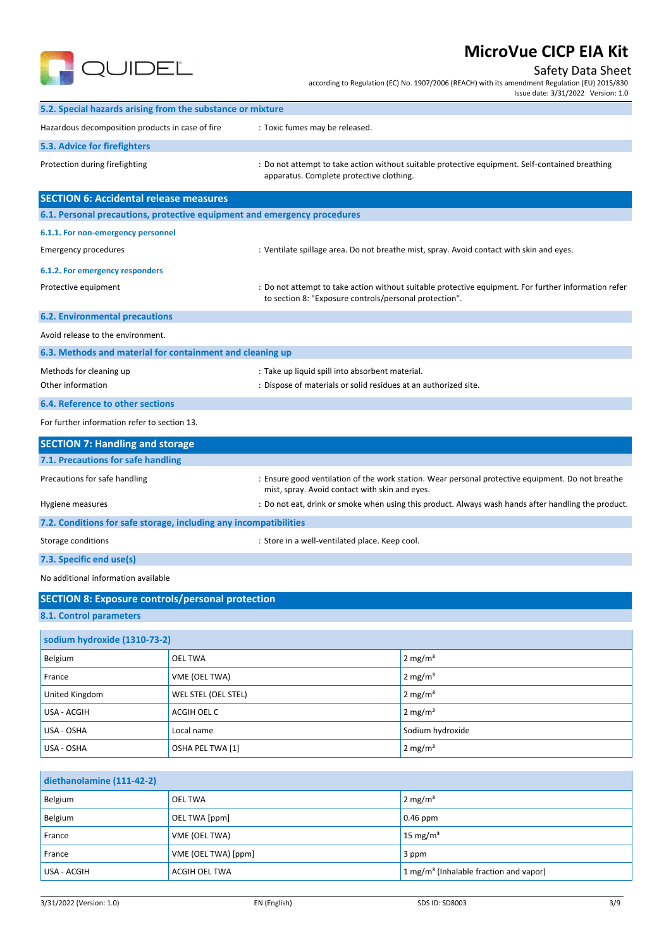

## Safety Data Sheet

according to Regulation (EC) No. 1907/2006 (REACH) with its amendment Regulation (EU) 2015/830

|                                                                          |                     |                                                                                                                    | Issue date: 3/31/2022 Version: 1.0                                                                   |
|--------------------------------------------------------------------------|---------------------|--------------------------------------------------------------------------------------------------------------------|------------------------------------------------------------------------------------------------------|
| 5.2. Special hazards arising from the substance or mixture               |                     |                                                                                                                    |                                                                                                      |
| Hazardous decomposition products in case of fire                         |                     | : Toxic fumes may be released.                                                                                     |                                                                                                      |
| 5.3. Advice for firefighters                                             |                     |                                                                                                                    |                                                                                                      |
| Protection during firefighting                                           |                     | apparatus. Complete protective clothing.                                                                           | : Do not attempt to take action without suitable protective equipment. Self-contained breathing      |
| <b>SECTION 6: Accidental release measures</b>                            |                     |                                                                                                                    |                                                                                                      |
| 6.1. Personal precautions, protective equipment and emergency procedures |                     |                                                                                                                    |                                                                                                      |
| 6.1.1. For non-emergency personnel                                       |                     |                                                                                                                    |                                                                                                      |
| <b>Emergency procedures</b>                                              |                     |                                                                                                                    | : Ventilate spillage area. Do not breathe mist, spray. Avoid contact with skin and eyes.             |
| 6.1.2. For emergency responders                                          |                     |                                                                                                                    |                                                                                                      |
| Protective equipment                                                     |                     | to section 8: "Exposure controls/personal protection".                                                             | : Do not attempt to take action without suitable protective equipment. For further information refer |
| <b>6.2. Environmental precautions</b>                                    |                     |                                                                                                                    |                                                                                                      |
| Avoid release to the environment.                                        |                     |                                                                                                                    |                                                                                                      |
| 6.3. Methods and material for containment and cleaning up                |                     |                                                                                                                    |                                                                                                      |
| Methods for cleaning up<br>Other information                             |                     | : Take up liquid spill into absorbent material.<br>: Dispose of materials or solid residues at an authorized site. |                                                                                                      |
| 6.4. Reference to other sections                                         |                     |                                                                                                                    |                                                                                                      |
| For further information refer to section 13.                             |                     |                                                                                                                    |                                                                                                      |
| <b>SECTION 7: Handling and storage</b>                                   |                     |                                                                                                                    |                                                                                                      |
| 7.1. Precautions for safe handling                                       |                     |                                                                                                                    |                                                                                                      |
| Precautions for safe handling                                            |                     | mist, spray. Avoid contact with skin and eyes.                                                                     | : Ensure good ventilation of the work station. Wear personal protective equipment. Do not breathe    |
| Hygiene measures                                                         |                     |                                                                                                                    | : Do not eat, drink or smoke when using this product. Always wash hands after handling the product.  |
| 7.2. Conditions for safe storage, including any incompatibilities        |                     |                                                                                                                    |                                                                                                      |
| Storage conditions                                                       |                     | : Store in a well-ventilated place. Keep cool.                                                                     |                                                                                                      |
| 7.3. Specific end use(s)                                                 |                     |                                                                                                                    |                                                                                                      |
| No additional information available                                      |                     |                                                                                                                    |                                                                                                      |
| <b>SECTION 8: Exposure controls/personal protection</b>                  |                     |                                                                                                                    |                                                                                                      |
| 8.1. Control parameters                                                  |                     |                                                                                                                    |                                                                                                      |
| sodium hydroxide (1310-73-2)                                             |                     |                                                                                                                    |                                                                                                      |
| Belgium                                                                  | <b>OEL TWA</b>      |                                                                                                                    | $2$ mg/m <sup>3</sup>                                                                                |
| France                                                                   | VME (OEL TWA)       |                                                                                                                    | $2$ mg/m <sup>3</sup>                                                                                |
| United Kingdom                                                           | WEL STEL (OEL STEL) |                                                                                                                    | $2 \text{ mg/m}^3$                                                                                   |
| USA - ACGIH                                                              | ACGIH OEL C         |                                                                                                                    | $2$ mg/m <sup>3</sup>                                                                                |
| USA - OSHA                                                               | Local name          |                                                                                                                    | Sodium hydroxide                                                                                     |
| USA - OSHA                                                               | OSHA PEL TWA [1]    |                                                                                                                    | $2 \text{ mg/m}^3$                                                                                   |
|                                                                          |                     |                                                                                                                    |                                                                                                      |
| diethanolamine (111-42-2)                                                |                     |                                                                                                                    |                                                                                                      |
| Belgium                                                                  | <b>OEL TWA</b>      |                                                                                                                    | $2 \text{ mg/m}^3$                                                                                   |
| Belgium                                                                  | OEL TWA [ppm]       |                                                                                                                    | 0.46 ppm                                                                                             |
| France                                                                   | VME (OEL TWA)       |                                                                                                                    | 15 mg/ $m3$                                                                                          |
| France                                                                   | VME (OEL TWA) [ppm] |                                                                                                                    | 3 ppm                                                                                                |
| USA - ACGIH                                                              | ACGIH OEL TWA       |                                                                                                                    | 1 mg/m <sup>3</sup> (Inhalable fraction and vapor)                                                   |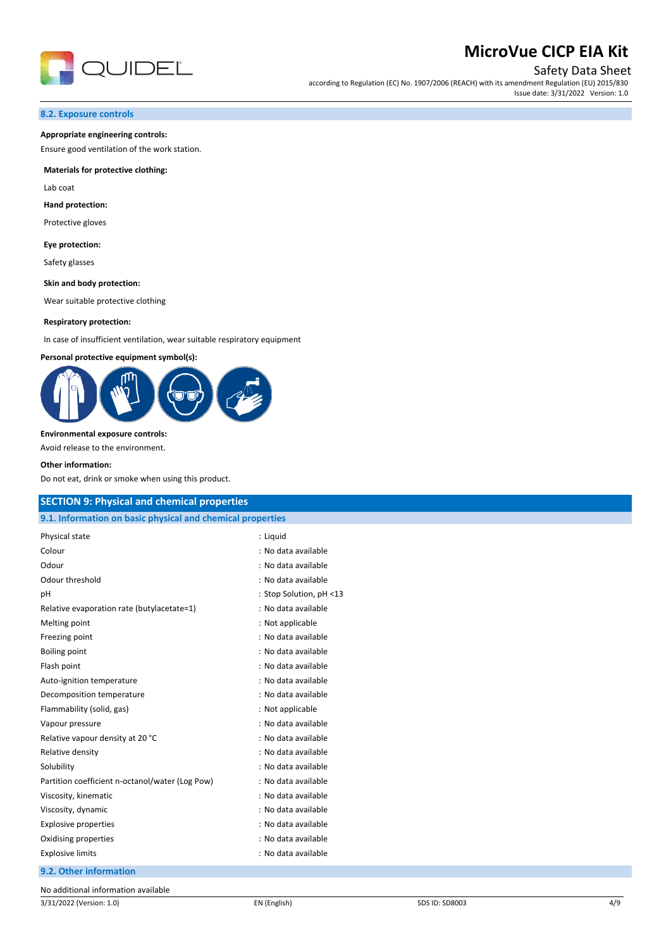

## Safety Data Sheet

according to Regulation (EC) No. 1907/2006 (REACH) with its amendment Regulation (EU) 2015/830 Issue date: 3/31/2022 Version: 1.0

#### **8.2. Exposure controls**

#### **Appropriate engineering controls:**

Ensure good ventilation of the work station.

#### **Materials for protective clothing:**

Lab coat

#### **Hand protection:**

Protective gloves

#### **Eye protection:**

Safety glasses

#### **Skin and body protection:**

Wear suitable protective clothing

#### **Respiratory protection:**

In case of insufficient ventilation, wear suitable respiratory equipment

#### **Personal protective equipment symbol(s):**



#### **Environmental exposure controls:**

Avoid release to the environment.

#### **Other information:**

Do not eat, drink or smoke when using this product.

| <b>SECTION 9: Physical and chemical properties</b>         |                         |  |
|------------------------------------------------------------|-------------------------|--|
| 9.1. Information on basic physical and chemical properties |                         |  |
| Physical state                                             | : Liquid                |  |
| Colour                                                     | : No data available     |  |
| Odour                                                      | : No data available     |  |
| Odour threshold                                            | : No data available     |  |
| pH                                                         | : Stop Solution, pH <13 |  |
| Relative evaporation rate (butylacetate=1)                 | : No data available     |  |
| Melting point                                              | : Not applicable        |  |
| Freezing point                                             | : No data available     |  |
| Boiling point                                              | : No data available     |  |
| Flash point                                                | : No data available     |  |
| Auto-ignition temperature                                  | : No data available     |  |
| Decomposition temperature                                  | : No data available     |  |
| Flammability (solid, gas)                                  | : Not applicable        |  |
| Vapour pressure                                            | : No data available     |  |
| Relative vapour density at 20 °C                           | : No data available     |  |
| Relative density                                           | : No data available     |  |
| Solubility                                                 | : No data available     |  |
| Partition coefficient n-octanol/water (Log Pow)            | : No data available     |  |
| Viscosity, kinematic                                       | : No data available     |  |
| Viscosity, dynamic                                         | : No data available     |  |
| <b>Explosive properties</b>                                | : No data available     |  |
| Oxidising properties                                       | : No data available     |  |
| <b>Explosive limits</b>                                    | : No data available     |  |
| 9.2. Other information                                     |                         |  |
| $\cdots$                                                   |                         |  |

No additional information available

3/31/2022 (Version: 1.0) EN (English) SDS ID: SD8003 4/9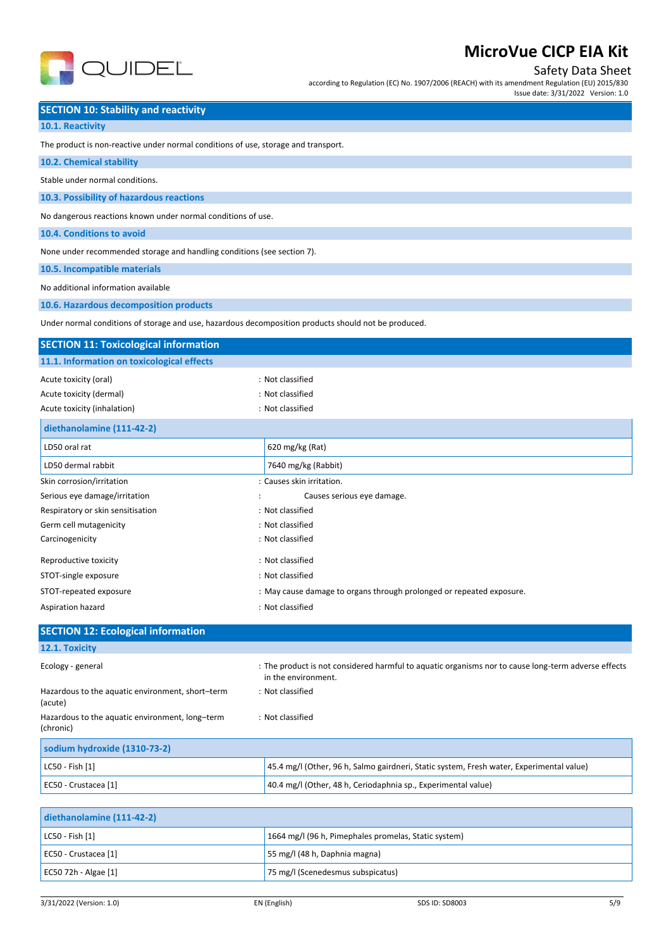

Safety Data Sheet

according to Regulation (EC) No. 1907/2006 (REACH) with its amendment Regulation (EU) 2015/830 Issue date: 3/31/2022 Version: 1.0

**SECTION 10: Stability and reactivity**

**10.1. Reactivity**

The product is non-reactive under normal conditions of use, storage and transport.

| 10.2. Chemical stability                                                                             |                                                                                                                            |
|------------------------------------------------------------------------------------------------------|----------------------------------------------------------------------------------------------------------------------------|
| Stable under normal conditions.                                                                      |                                                                                                                            |
| 10.3. Possibility of hazardous reactions                                                             |                                                                                                                            |
| No dangerous reactions known under normal conditions of use.                                         |                                                                                                                            |
| 10.4. Conditions to avoid                                                                            |                                                                                                                            |
| None under recommended storage and handling conditions (see section 7).                              |                                                                                                                            |
| 10.5. Incompatible materials                                                                         |                                                                                                                            |
| No additional information available                                                                  |                                                                                                                            |
| 10.6. Hazardous decomposition products                                                               |                                                                                                                            |
| Under normal conditions of storage and use, hazardous decomposition products should not be produced. |                                                                                                                            |
| <b>SECTION 11: Toxicological information</b>                                                         |                                                                                                                            |
| 11.1. Information on toxicological effects                                                           |                                                                                                                            |
| Acute toxicity (oral)                                                                                | : Not classified                                                                                                           |
| Acute toxicity (dermal)                                                                              | : Not classified                                                                                                           |
| Acute toxicity (inhalation)                                                                          | : Not classified                                                                                                           |
| diethanolamine (111-42-2)                                                                            |                                                                                                                            |
| LD50 oral rat                                                                                        | 620 mg/kg (Rat)                                                                                                            |
| LD50 dermal rabbit                                                                                   | 7640 mg/kg (Rabbit)                                                                                                        |
| Skin corrosion/irritation                                                                            | : Causes skin irritation.                                                                                                  |
| Serious eye damage/irritation                                                                        | Causes serious eye damage.                                                                                                 |
| Respiratory or skin sensitisation                                                                    | : Not classified                                                                                                           |
| Germ cell mutagenicity                                                                               | : Not classified                                                                                                           |
| Carcinogenicity                                                                                      | : Not classified                                                                                                           |
| Reproductive toxicity                                                                                | : Not classified                                                                                                           |
| STOT-single exposure                                                                                 | : Not classified                                                                                                           |
| STOT-repeated exposure                                                                               | : May cause damage to organs through prolonged or repeated exposure.                                                       |
| Aspiration hazard                                                                                    | : Not classified                                                                                                           |
| <b>SECTION 12: Ecological information</b>                                                            |                                                                                                                            |
| 12.1. Toxicity                                                                                       |                                                                                                                            |
| Ecology - general                                                                                    | : The product is not considered harmful to aquatic organisms nor to cause long-term adverse effects<br>in the environment. |
| Hazardous to the aquatic environment, short-term<br>(acute)                                          | : Not classified                                                                                                           |
| Hazardous to the aquatic environment, long-term<br>(chronic)                                         | : Not classified                                                                                                           |
| sodium hydroxide (1310-73-2)                                                                         |                                                                                                                            |
| LC50 - Fish [1]                                                                                      | 45.4 mg/l (Other, 96 h, Salmo gairdneri, Static system, Fresh water, Experimental value)                                   |
| EC50 - Crustacea [1]                                                                                 | 40.4 mg/l (Other, 48 h, Ceriodaphnia sp., Experimental value)                                                              |
|                                                                                                      |                                                                                                                            |
| diethanolamine (111-42-2)                                                                            |                                                                                                                            |
| LC50 - Fish [1]                                                                                      | 1664 mg/l (96 h, Pimephales promelas, Static system)                                                                       |

EC50 - Crustacea [1] example a series of the series of the SS mg/l (48 h, Daphnia magna) EC50 72h - Algae [1] 75 mg/l (Scenedesmus subspicatus)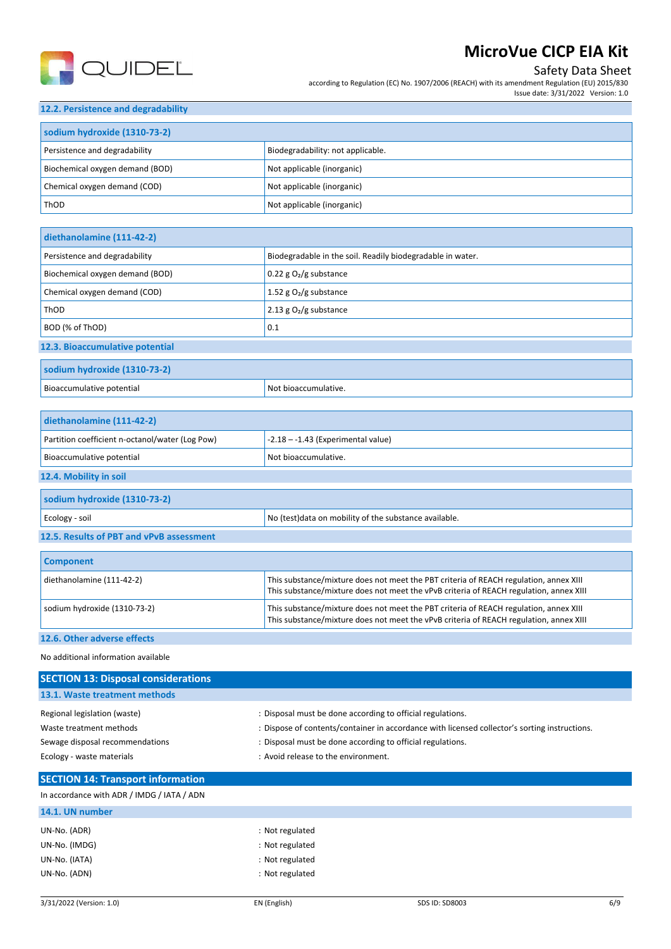

## Safety Data Sheet

according to Regulation (EC) No. 1907/2006 (REACH) with its amendment Regulation (EU) 2015/830 Issue date: 3/31/2022 Version: 1.0

### **12.2. Persistence and degradability**

| sodium hydroxide (1310-73-2)    |                                   |  |
|---------------------------------|-----------------------------------|--|
| Persistence and degradability   | Biodegradability: not applicable. |  |
| Biochemical oxygen demand (BOD) | Not applicable (inorganic)        |  |
| Chemical oxygen demand (COD)    | Not applicable (inorganic)        |  |
| ThOD                            | Not applicable (inorganic)        |  |

| diethanolamine (111-42-2)       |                                                            |
|---------------------------------|------------------------------------------------------------|
| Persistence and degradability   | Biodegradable in the soil. Readily biodegradable in water. |
| Biochemical oxygen demand (BOD) | $0.22$ g $O2$ /g substance                                 |
| Chemical oxygen demand (COD)    | 1.52 g $O_2$ /g substance                                  |
| ThOD                            | 2.13 g $O2/g$ substance                                    |
| BOD (% of ThOD)                 | 0.1                                                        |
| 12.3. Bioaccumulative potential |                                                            |

| <b>SO</b><br>$\blacksquare$ |                             |
|-----------------------------|-----------------------------|
| Bioaccumulative potential   | . Not<br>t bioaccumulative. |

| diethanolamine (111-42-2)                       |                                                        |  |
|-------------------------------------------------|--------------------------------------------------------|--|
| Partition coefficient n-octanol/water (Log Pow) | $-2.18 - -1.43$ (Experimental value)                   |  |
| Bioaccumulative potential                       | Not bioaccumulative.                                   |  |
| 12.4. Mobility in soil                          |                                                        |  |
| sodium hydroxide (1310-73-2)                    |                                                        |  |
| Ecology - soil                                  | No (test) data on mobility of the substance available. |  |
| 12.5. Results of PBT and vPvB assessment        |                                                        |  |
|                                                 |                                                        |  |

| <b>Component</b>             |                                                                                                                                                                                 |
|------------------------------|---------------------------------------------------------------------------------------------------------------------------------------------------------------------------------|
| diethanolamine (111-42-2)    | This substance/mixture does not meet the PBT criteria of REACH regulation, annex XIII<br>This substance/mixture does not meet the vPvB criteria of REACH regulation, annex XIII |
| sodium hydroxide (1310-73-2) | This substance/mixture does not meet the PBT criteria of REACH regulation, annex XIII<br>This substance/mixture does not meet the vPvB criteria of REACH regulation, annex XIII |
| 12.6. Other adverse effects  |                                                                                                                                                                                 |

#### No additional information available

| <b>SECTION 13: Disposal considerations</b> |                                                                                               |
|--------------------------------------------|-----------------------------------------------------------------------------------------------|
| 13.1. Waste treatment methods              |                                                                                               |
| Regional legislation (waste)               | : Disposal must be done according to official regulations.                                    |
| Waste treatment methods                    | : Dispose of contents/container in accordance with licensed collector's sorting instructions. |
| Sewage disposal recommendations            | : Disposal must be done according to official regulations.                                    |
| Ecology - waste materials                  | : Avoid release to the environment.                                                           |
| <b>SECTION 14: Transport information</b>   |                                                                                               |
| In accordance with ADR / IMDG / IATA / ADN |                                                                                               |

## **14.1. UN number** UN-No. (ADR) : Not regulated UN-No. (IMDG) : Not regulated UN-No. (IATA) : Not regulated UN-No. (ADN) : Not regulated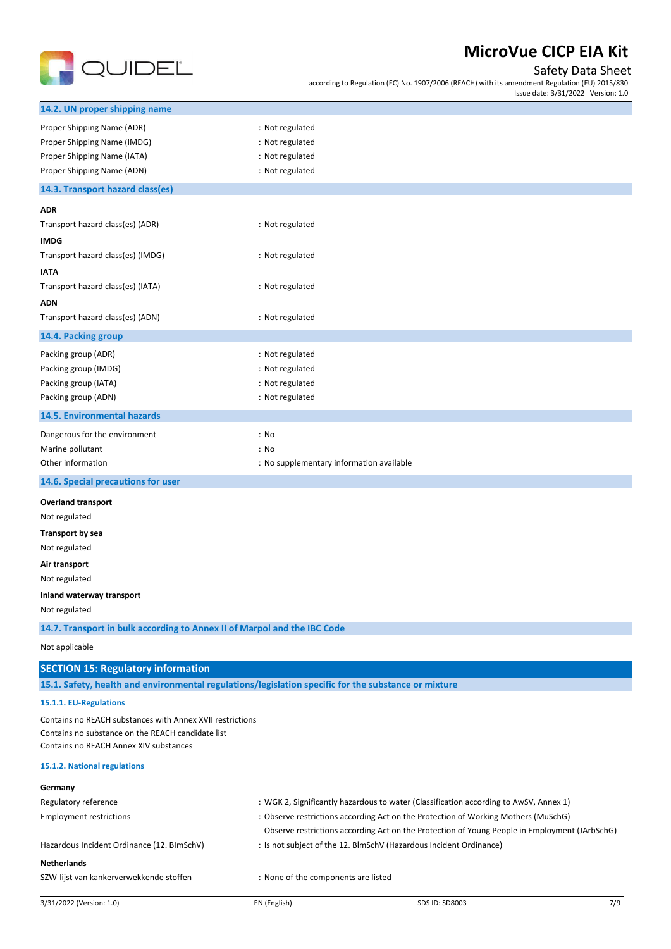

## Safety Data Sheet

according to Regulation (EC) No. 1907/2006 (REACH) with its amendment Regulation (EU) 2015/830 Issue date: 3/31/2022 Version: 1.0

| 3/31/2022 (Version: 1.0)                                                                             | EN (English)                             | SDS ID: SD8003                                                                                | 7/9 |
|------------------------------------------------------------------------------------------------------|------------------------------------------|-----------------------------------------------------------------------------------------------|-----|
| SZW-lijst van kankerverwekkende stoffen                                                              | : None of the components are listed      |                                                                                               |     |
| <b>Netherlands</b>                                                                                   |                                          |                                                                                               |     |
| Hazardous Incident Ordinance (12. BImSchV)                                                           |                                          | : Is not subject of the 12. BlmSchV (Hazardous Incident Ordinance)                            |     |
|                                                                                                      |                                          | Observe restrictions according Act on the Protection of Young People in Employment (JArbSchG) |     |
| <b>Employment restrictions</b>                                                                       |                                          | : Observe restrictions according Act on the Protection of Working Mothers (MuSchG)            |     |
| Regulatory reference                                                                                 |                                          | : WGK 2, Significantly hazardous to water (Classification according to AwSV, Annex 1)         |     |
| Germany                                                                                              |                                          |                                                                                               |     |
| 15.1.2. National regulations                                                                         |                                          |                                                                                               |     |
| Contains no substance on the REACH candidate list<br>Contains no REACH Annex XIV substances          |                                          |                                                                                               |     |
| Contains no REACH substances with Annex XVII restrictions                                            |                                          |                                                                                               |     |
| 15.1.1. EU-Regulations                                                                               |                                          |                                                                                               |     |
| 15.1. Safety, health and environmental regulations/legislation specific for the substance or mixture |                                          |                                                                                               |     |
| <b>SECTION 15: Regulatory information</b>                                                            |                                          |                                                                                               |     |
| Not applicable                                                                                       |                                          |                                                                                               |     |
| 14.7. Transport in bulk according to Annex II of Marpol and the IBC Code                             |                                          |                                                                                               |     |
| Not regulated                                                                                        |                                          |                                                                                               |     |
| Inland waterway transport                                                                            |                                          |                                                                                               |     |
| Not regulated                                                                                        |                                          |                                                                                               |     |
| Air transport                                                                                        |                                          |                                                                                               |     |
| Not regulated                                                                                        |                                          |                                                                                               |     |
| Transport by sea                                                                                     |                                          |                                                                                               |     |
| Not regulated                                                                                        |                                          |                                                                                               |     |
| <b>Overland transport</b>                                                                            |                                          |                                                                                               |     |
| 14.6. Special precautions for user                                                                   |                                          |                                                                                               |     |
| Other information                                                                                    | : No supplementary information available |                                                                                               |     |
| Marine pollutant                                                                                     | : No                                     |                                                                                               |     |
| Dangerous for the environment                                                                        | : No                                     |                                                                                               |     |
| 14.5. Environmental hazards                                                                          |                                          |                                                                                               |     |
| Packing group (ADN)                                                                                  | : Not regulated                          |                                                                                               |     |
| Packing group (IATA)                                                                                 | : Not regulated                          |                                                                                               |     |
| Packing group (IMDG)                                                                                 | : Not regulated                          |                                                                                               |     |
| Packing group (ADR)                                                                                  | : Not regulated                          |                                                                                               |     |
| 14.4. Packing group                                                                                  |                                          |                                                                                               |     |
| Transport hazard class(es) (ADN)                                                                     | : Not regulated                          |                                                                                               |     |
| <b>ADN</b>                                                                                           |                                          |                                                                                               |     |
| Transport hazard class(es) (IATA)                                                                    | : Not regulated                          |                                                                                               |     |
| <b>IATA</b>                                                                                          |                                          |                                                                                               |     |
| Transport hazard class(es) (IMDG)                                                                    | : Not regulated                          |                                                                                               |     |
| <b>IMDG</b>                                                                                          |                                          |                                                                                               |     |
| Transport hazard class(es) (ADR)                                                                     | : Not regulated                          |                                                                                               |     |
| <b>ADR</b>                                                                                           |                                          |                                                                                               |     |
| 14.3. Transport hazard class(es)                                                                     |                                          |                                                                                               |     |
| Proper Shipping Name (ADN)                                                                           | : Not regulated                          |                                                                                               |     |
| Proper Shipping Name (IATA)                                                                          | : Not regulated                          |                                                                                               |     |
| Proper Shipping Name (ADR)<br>Proper Shipping Name (IMDG)                                            | : Not regulated<br>: Not regulated       |                                                                                               |     |
|                                                                                                      |                                          |                                                                                               |     |
| 14.2. UN proper shipping name                                                                        |                                          |                                                                                               |     |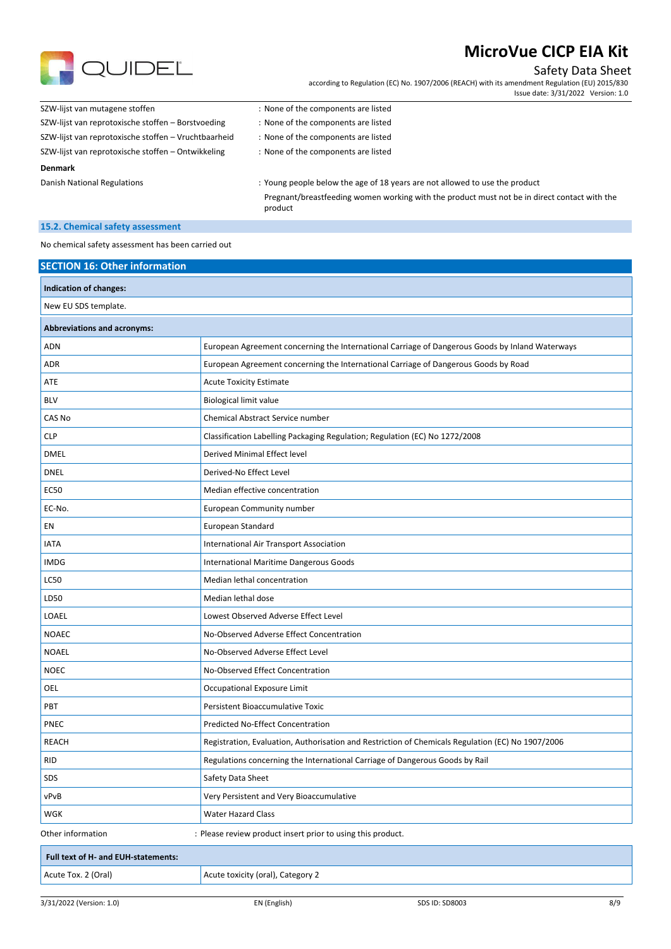

### Safety Data Sheet

according to Regulation (EC) No. 1907/2006 (REACH) with its amendment Regulation (EU) 2015/830 Issue date: 3/31/2022 Version: 1.0

| SZW-lijst van mutagene stoffen                       | : None of the components are listed                                         |
|------------------------------------------------------|-----------------------------------------------------------------------------|
| SZW-lijst van reprotoxische stoffen - Borstvoeding   | : None of the components are listed                                         |
| SZW-lijst van reprotoxische stoffen – Vruchtbaarheid | : None of the components are listed                                         |
| SZW-lijst van reprotoxische stoffen – Ontwikkeling   | : None of the components are listed                                         |
| <b>Denmark</b>                                       |                                                                             |
| Danish National Regulations                          | : Young people below the age of 18 years are not allowed to use the product |

Pregnant/breastfeeding women working with the product must not be in direct contact with the product

### **15.2. Chemical safety assessment**

No chemical safety assessment has been carried out

| <b>SECTION 16: Other information</b> |                                                                                                   |  |
|--------------------------------------|---------------------------------------------------------------------------------------------------|--|
| Indication of changes:               |                                                                                                   |  |
| New EU SDS template.                 |                                                                                                   |  |
| <b>Abbreviations and acronyms:</b>   |                                                                                                   |  |
| <b>ADN</b>                           | European Agreement concerning the International Carriage of Dangerous Goods by Inland Waterways   |  |
| <b>ADR</b>                           | European Agreement concerning the International Carriage of Dangerous Goods by Road               |  |
| ATE                                  | <b>Acute Toxicity Estimate</b>                                                                    |  |
| <b>BLV</b>                           | <b>Biological limit value</b>                                                                     |  |
| CAS No                               | Chemical Abstract Service number                                                                  |  |
| <b>CLP</b>                           | Classification Labelling Packaging Regulation; Regulation (EC) No 1272/2008                       |  |
| <b>DMEL</b>                          | Derived Minimal Effect level                                                                      |  |
| <b>DNEL</b>                          | Derived-No Effect Level                                                                           |  |
| <b>EC50</b>                          | Median effective concentration                                                                    |  |
| EC-No.                               | European Community number                                                                         |  |
| EN                                   | European Standard                                                                                 |  |
| <b>IATA</b>                          | International Air Transport Association                                                           |  |
| <b>IMDG</b>                          | International Maritime Dangerous Goods                                                            |  |
| <b>LC50</b>                          | Median lethal concentration                                                                       |  |
| LD50                                 | Median lethal dose                                                                                |  |
| LOAEL                                | Lowest Observed Adverse Effect Level                                                              |  |
| <b>NOAEC</b>                         | No-Observed Adverse Effect Concentration                                                          |  |
| <b>NOAEL</b>                         | No-Observed Adverse Effect Level                                                                  |  |
| <b>NOEC</b>                          | No-Observed Effect Concentration                                                                  |  |
| OEL                                  | Occupational Exposure Limit                                                                       |  |
| PBT                                  | Persistent Bioaccumulative Toxic                                                                  |  |
| PNEC                                 | Predicted No-Effect Concentration                                                                 |  |
| <b>REACH</b>                         | Registration, Evaluation, Authorisation and Restriction of Chemicals Regulation (EC) No 1907/2006 |  |
| <b>RID</b>                           | Regulations concerning the International Carriage of Dangerous Goods by Rail                      |  |
| SDS                                  | Safety Data Sheet                                                                                 |  |
| vPvB                                 | Very Persistent and Very Bioaccumulative                                                          |  |
| WGK                                  | <b>Water Hazard Class</b>                                                                         |  |
| Other information                    | : Please review product insert prior to using this product.                                       |  |
| Full text of H- and EUH-statements:  |                                                                                                   |  |
| Acute Tox. 2 (Oral)                  | Acute toxicity (oral), Category 2                                                                 |  |